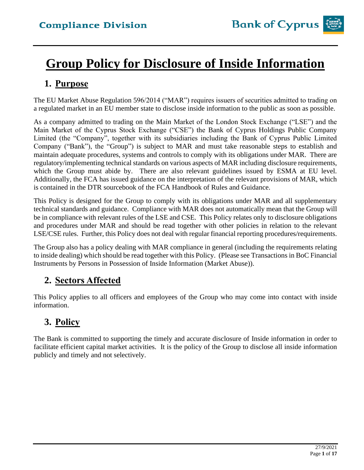# **Group Policy for Disclosure of Inside Information**

## **1. Purpose**

The EU Market Abuse Regulation 596/2014 ("MAR") requires issuers of securities admitted to trading on a regulated market in an EU member state to disclose inside information to the public as soon as possible.

As a company admitted to trading on the Main Market of the London Stock Exchange ("LSE") and the Main Market of the Cyprus Stock Exchange ("CSE") the Bank of Cyprus Holdings Public Company Limited (the "Company", together with its subsidiaries including the Bank of Cyprus Public Limited Company ("Bank"), the "Group") is subject to MAR and must take reasonable steps to establish and maintain adequate procedures, systems and controls to comply with its obligations under MAR. There are regulatory/implementing technical standards on various aspects of MAR including disclosure requirements, which the Group must abide by. There are also relevant guidelines issued by ESMA at EU level. Additionally, the FCA has issued guidance on the interpretation of the relevant provisions of MAR, which is contained in the DTR sourcebook of the FCA Handbook of Rules and Guidance.

This Policy is designed for the Group to comply with its obligations under MAR and all supplementary technical standards and guidance. Compliance with MAR does not automatically mean that the Group will be in compliance with relevant rules of the LSE and CSE. This Policy relates only to disclosure obligations and procedures under MAR and should be read together with other policies in relation to the relevant LSE/CSE rules. Further, this Policy does not deal with regular financial reporting procedures/requirements.

The Group also has a policy dealing with MAR compliance in general (including the requirements relating to inside dealing) which should be read together with this Policy. (Please see Transactions in BoC Financial Instruments by Persons in Possession of Inside Information (Market Abuse)).

## **2. Sectors Affected**

This Policy applies to all officers and employees of the Group who may come into contact with inside information.

## **3. Policy**

The Bank is committed to supporting the timely and accurate disclosure of Inside information in order to facilitate efficient capital market activities. It is the policy of the Group to disclose all inside information publicly and timely and not selectively.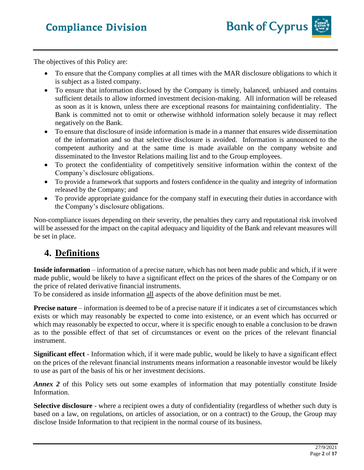

The objectives of this Policy are:

- To ensure that the Company complies at all times with the MAR disclosure obligations to which it is subject as a listed company.
- To ensure that information disclosed by the Company is timely, balanced, unbiased and contains sufficient details to allow informed investment decision-making. All information will be released as soon as it is known, unless there are exceptional reasons for maintaining confidentiality. The Bank is committed not to omit or otherwise withhold information solely because it may reflect negatively on the Bank.
- To ensure that disclosure of inside information is made in a manner that ensures wide dissemination of the information and so that selective disclosure is avoided. Information is announced to the competent authority and at the same time is made available on the company website and disseminated to the Investor Relations mailing list and to the Group employees.
- To protect the confidentiality of competitively sensitive information within the context of the Company's disclosure obligations.
- To provide a framework that supports and fosters confidence in the quality and integrity of information released by the Company; and
- To provide appropriate guidance for the company staff in executing their duties in accordance with the Company's disclosure obligations.

Non-compliance issues depending on their severity, the penalties they carry and reputational risk involved will be assessed for the impact on the capital adequacy and liquidity of the Bank and relevant measures will be set in place.

## **4. Definitions**

**Inside information** – information of a precise nature, which has not been made public and which, if it were made public, would be likely to have a significant effect on the prices of the shares of the Company or on the price of related derivative financial instruments.

To be considered as inside information all aspects of the above definition must be met.

**Precise nature** – information is deemed to be of a precise nature if it indicates a set of circumstances which exists or which may reasonably be expected to come into existence, or an event which has occurred or which may reasonably be expected to occur, where it is specific enough to enable a conclusion to be drawn as to the possible effect of that set of circumstances or event on the prices of the relevant financial instrument.

**Significant effect** - Information which, if it were made public, would be likely to have a significant effect on the prices of the relevant financial instruments means information a reasonable investor would be likely to use as part of the basis of his or her investment decisions.

*Annex 2* of this Policy sets out some examples of information that may potentially constitute Inside Information.

**Selective disclosure** - where a recipient owes a duty of confidentiality (regardless of whether such duty is based on a law, on regulations, on articles of association, or on a contract) to the Group, the Group may disclose Inside Information to that recipient in the normal course of its business.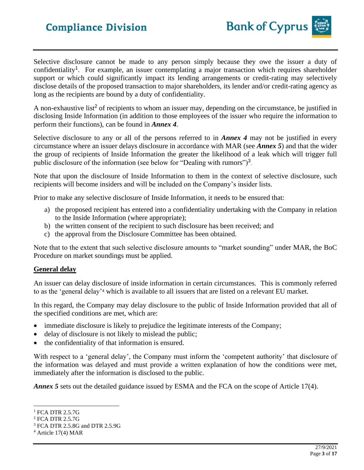Selective disclosure cannot be made to any person simply because they owe the issuer a duty of confidentiality<sup>1</sup>. For example, an issuer contemplating a major transaction which requires shareholder support or which could significantly impact its lending arrangements or credit-rating may selectively disclose details of the proposed transaction to major shareholders, its lender and/or credit-rating agency as long as the recipients are bound by a duty of confidentiality.

A non-exhaustive list<sup>2</sup> of recipients to whom an issuer may, depending on the circumstance, be justified in disclosing Inside Information (in addition to those employees of the issuer who require the information to perform their functions), can be found in *Annex 4*.

Selective disclosure to any or all of the persons referred to in *Annex 4* may not be justified in every circumstance where an issuer delays disclosure in accordance with MAR (see *Annex 5*) and that the wider the group of recipients of Inside Information the greater the likelihood of a leak which will trigger full public disclosure of the information (see below for "Dealing with rumors")<sup>3</sup>.

Note that upon the disclosure of Inside Information to them in the context of selective disclosure, such recipients will become insiders and will be included on the Company's insider lists.

Prior to make any selective disclosure of Inside Information, it needs to be ensured that:

- a) the proposed recipient has entered into a confidentiality undertaking with the Company in relation to the Inside Information (where appropriate);
- b) the written consent of the recipient to such disclosure has been received; and
- c) the approval from the Disclosure Committee has been obtained.

Note that to the extent that such selective disclosure amounts to "market sounding" under MAR, the BoC Procedure on market soundings must be applied.

## **General delay**

An issuer can delay disclosure of inside information in certain circumstances. This is commonly referred to as the 'general delay'<sup>4</sup> which is available to all issuers that are listed on a relevant EU market.

In this regard, the Company may delay disclosure to the public of Inside Information provided that all of the specified conditions are met, which are:

- immediate disclosure is likely to prejudice the legitimate interests of the Company;
- delay of disclosure is not likely to mislead the public;
- the confidentiality of that information is ensured.

With respect to a 'general delay', the Company must inform the 'competent authority' that disclosure of the information was delayed and must provide a written explanation of how the conditions were met, immediately after the information is disclosed to the public.

*Annex 5* sets out the detailed guidance issued by ESMA and the FCA on the scope of Article 17(4).

<sup>&</sup>lt;sup>1</sup> FCA DTR 2.5.7G

<sup>2</sup> FCA DTR 2.5.7G

<sup>3</sup> FCA DTR 2.5.8G and DTR 2.5.9G

 $4$  Article 17(4) MAR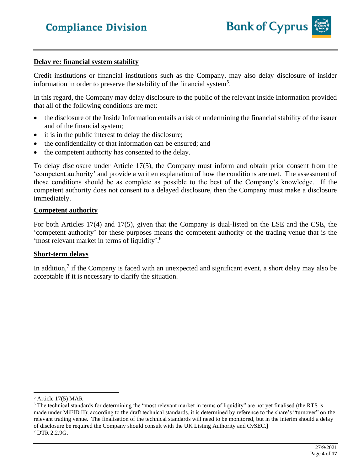

#### **Delay re: financial system stability**

Credit institutions or financial institutions such as the Company, may also delay disclosure of insider information in order to preserve the stability of the financial system<sup>5</sup>.

In this regard, the Company may delay disclosure to the public of the relevant Inside Information provided that all of the following conditions are met:

- the disclosure of the Inside Information entails a risk of undermining the financial stability of the issuer and of the financial system;
- it is in the public interest to delay the disclosure;
- the confidentiality of that information can be ensured; and
- the competent authority has consented to the delay.

To delay disclosure under Article 17(5), the Company must inform and obtain prior consent from the 'competent authority' and provide a written explanation of how the conditions are met. The assessment of those conditions should be as complete as possible to the best of the Company's knowledge. If the competent authority does not consent to a delayed disclosure, then the Company must make a disclosure immediately.

### **Competent authority**

For both Articles 17(4) and 17(5), given that the Company is dual-listed on the LSE and the CSE, the 'competent authority' for these purposes means the competent authority of the trading venue that is the 'most relevant market in terms of liquidity'.<sup>6</sup>

### **Short-term delays**

In addition,<sup>7</sup> if the Company is faced with an unexpected and significant event, a short delay may also be acceptable if it is necessary to clarify the situation.

<sup>5</sup> Article 17(5) MAR

 $6$  The technical standards for determining the "most relevant market in terms of liquidity" are not yet finalised (the RTS is made under MiFID II); according to the draft technical standards, it is determined by reference to the share's "turnover" on the relevant trading venue. The finalisation of the technical standards will need to be monitored, but in the interim should a delay of disclosure be required the Company should consult with the UK Listing Authority and CySEC.]  $7$  DTR 2.2.9G.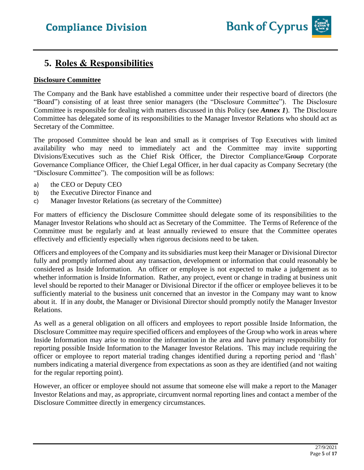

## **5. Roles & Responsibilities**

## **Disclosure Committee**

The Company and the Bank have established a committee under their respective board of directors (the "Board") consisting of at least three senior managers (the "Disclosure Committee"). The Disclosure Committee is responsible for dealing with matters discussed in this Policy (see *Annex 1*). The Disclosure Committee has delegated some of its responsibilities to the Manager Investor Relations who should act as Secretary of the Committee.

The proposed Committee should be lean and small as it comprises of Top Executives with limited availability who may need to immediately act and the Committee may invite supporting Divisions/Executives such as the Chief Risk Officer, the Director Compliance/Group Corporate Governance Compliance Officer, the Chief Legal Officer, in her dual capacity as Company Secretary (the "Disclosure Committee"). The composition will be as follows:

- a) the CEO or Deputy CEO
- b) the Executive Director Finance and
- c) Manager Investor Relations (as secretary of the Committee)

For matters of efficiency the Disclosure Committee should delegate some of its responsibilities to the Manager Investor Relations who should act as Secretary of the Committee. The Terms of Reference of the Committee must be regularly and at least annually reviewed to ensure that the Committee operates effectively and efficiently especially when rigorous decisions need to be taken.

Officers and employees of the Company and its subsidiaries must keep their Manager or Divisional Director fully and promptly informed about any transaction, development or information that could reasonably be considered as Inside Information. An officer or employee is not expected to make a judgement as to whether information is Inside Information. Rather, any project, event or change in trading at business unit level should be reported to their Manager or Divisional Director if the officer or employee believes it to be sufficiently material to the business unit concerned that an investor in the Company may want to know about it. If in any doubt, the Manager or Divisional Director should promptly notify the Manager Investor Relations.

As well as a general obligation on all officers and employees to report possible Inside Information, the Disclosure Committee may require specified officers and employees of the Group who work in areas where Inside Information may arise to monitor the information in the area and have primary responsibility for reporting possible Inside Information to the Manager Investor Relations. This may include requiring the officer or employee to report material trading changes identified during a reporting period and 'flash' numbers indicating a material divergence from expectations as soon as they are identified (and not waiting for the regular reporting point).

However, an officer or employee should not assume that someone else will make a report to the Manager Investor Relations and may, as appropriate, circumvent normal reporting lines and contact a member of the Disclosure Committee directly in emergency circumstances.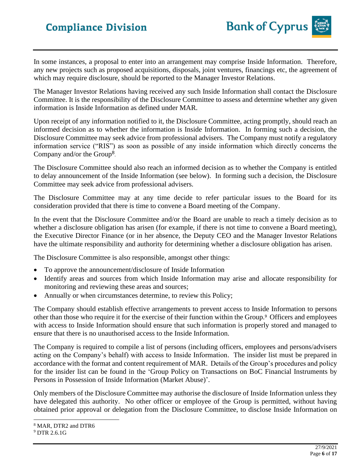In some instances, a proposal to enter into an arrangement may comprise Inside Information. Therefore, any new projects such as proposed acquisitions, disposals, joint ventures, financings etc, the agreement of which may require disclosure, should be reported to the Manager Investor Relations.

The Manager Investor Relations having received any such Inside Information shall contact the Disclosure Committee. It is the responsibility of the Disclosure Committee to assess and determine whether any given information is Inside Information as defined under MAR.

Upon receipt of any information notified to it, the Disclosure Committee, acting promptly, should reach an informed decision as to whether the information is Inside Information. In forming such a decision, the Disclosure Committee may seek advice from professional advisers. The Company must notify a regulatory information service ("RIS") as soon as possible of any inside information which directly concerns the Company and/or the Group<sup>8</sup>.

The Disclosure Committee should also reach an informed decision as to whether the Company is entitled to delay announcement of the Inside Information (see below). In forming such a decision, the Disclosure Committee may seek advice from professional advisers.

The Disclosure Committee may at any time decide to refer particular issues to the Board for its consideration provided that there is time to convene a Board meeting of the Company.

In the event that the Disclosure Committee and/or the Board are unable to reach a timely decision as to whether a disclosure obligation has arisen (for example, if there is not time to convene a Board meeting), the Executive Director Finance (or in her absence, the Deputy CEO and the Manager Investor Relations have the ultimate responsibility and authority for determining whether a disclosure obligation has arisen.

The Disclosure Committee is also responsible, amongst other things:

- To approve the announcement/disclosure of Inside Information
- Identify areas and sources from which Inside Information may arise and allocate responsibility for monitoring and reviewing these areas and sources;
- Annually or when circumstances determine, to review this Policy;

The Company should establish effective arrangements to prevent access to Inside Information to persons other than those who require it for the exercise of their function within the Group.<sup>9</sup> Officers and employees with access to Inside Information should ensure that such information is properly stored and managed to ensure that there is no unauthorised access to the Inside Information.

The Company is required to compile a list of persons (including officers, employees and persons/advisers acting on the Company's behalf) with access to Inside Information. The insider list must be prepared in accordance with the format and content requirement of MAR. Details of the Group's procedures and policy for the insider list can be found in the 'Group Policy on Transactions on BoC Financial Instruments by Persons in Possession of Inside Information (Market Abuse)'.

Only members of the Disclosure Committee may authorise the disclosure of Inside Information unless they have delegated this authority. No other officer or employee of the Group is permitted, without having obtained prior approval or delegation from the Disclosure Committee, to disclose Inside Information on

<sup>8</sup> MAR, DTR2 and DTR6

<sup>9</sup> DTR 2.6.1G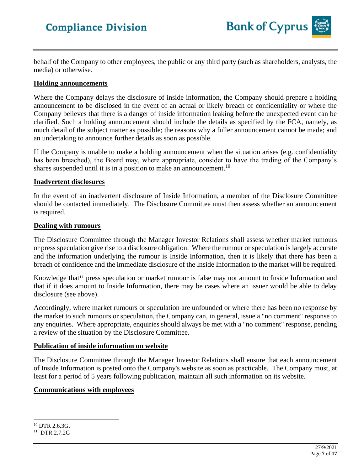

behalf of the Company to other employees, the public or any third party (such as shareholders, analysts, the media) or otherwise.

### **Holding announcements**

Where the Company delays the disclosure of inside information, the Company should prepare a holding announcement to be disclosed in the event of an actual or likely breach of confidentiality or where the Company believes that there is a danger of inside information leaking before the unexpected event can be clarified. Such a holding announcement should include the details as specified by the FCA, namely, as much detail of the subject matter as possible; the reasons why a fuller announcement cannot be made; and an undertaking to announce further details as soon as possible.

If the Company is unable to make a holding announcement when the situation arises (e.g. confidentiality has been breached), the Board may, where appropriate, consider to have the trading of the Company's shares suspended until it is in a position to make an announcement.<sup>10</sup>

### **Inadvertent disclosures**

In the event of an inadvertent disclosure of Inside Information, a member of the Disclosure Committee should be contacted immediately. The Disclosure Committee must then assess whether an announcement is required.

#### **Dealing with rumours**

The Disclosure Committee through the Manager Investor Relations shall assess whether market rumours or press speculation give rise to a disclosure obligation. Where the rumour or speculation is largely accurate and the information underlying the rumour is Inside Information, then it is likely that there has been a breach of confidence and the immediate disclosure of the Inside Information to the market will be required.

Knowledge that<sup>11</sup> press speculation or market rumour is false may not amount to Inside Information and that if it does amount to Inside Information, there may be cases where an issuer would be able to delay disclosure (see above).

Accordingly, where market rumours or speculation are unfounded or where there has been no response by the market to such rumours or speculation, the Company can, in general, issue a "no comment" response to any enquiries. Where appropriate, enquiries should always be met with a "no comment" response, pending a review of the situation by the Disclosure Committee.

### **Publication of inside information on website**

The Disclosure Committee through the Manager Investor Relations shall ensure that each announcement of Inside Information is posted onto the Company's website as soon as practicable. The Company must, at least for a period of 5 years following publication, maintain all such information on its website.

### **Communications with employees**

<sup>11</sup> DTR 2.7.2G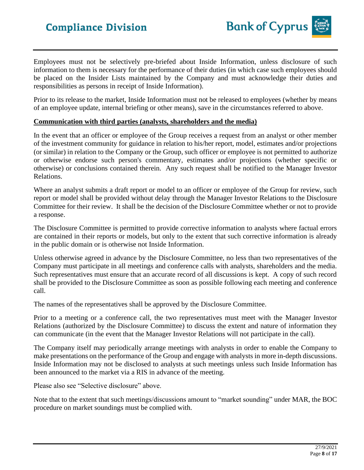Employees must not be selectively pre-briefed about Inside Information, unless disclosure of such information to them is necessary for the performance of their duties (in which case such employees should be placed on the Insider Lists maintained by the Company and must acknowledge their duties and responsibilities as persons in receipt of Inside Information).

Prior to its release to the market, Inside Information must not be released to employees (whether by means of an employee update, internal briefing or other means), save in the circumstances referred to above.

### **Communication with third parties (analysts, shareholders and the media)**

In the event that an officer or employee of the Group receives a request from an analyst or other member of the investment community for guidance in relation to his/her report, model, estimates and/or projections (or similar) in relation to the Company or the Group, such officer or employee is not permitted to authorize or otherwise endorse such person's commentary, estimates and/or projections (whether specific or otherwise) or conclusions contained therein. Any such request shall be notified to the Manager Investor Relations.

Where an analyst submits a draft report or model to an officer or employee of the Group for review, such report or model shall be provided without delay through the Manager Investor Relations to the Disclosure Committee for their review. It shall be the decision of the Disclosure Committee whether or not to provide a response.

The Disclosure Committee is permitted to provide corrective information to analysts where factual errors are contained in their reports or models, but only to the extent that such corrective information is already in the public domain or is otherwise not Inside Information.

Unless otherwise agreed in advance by the Disclosure Committee, no less than two representatives of the Company must participate in all meetings and conference calls with analysts, shareholders and the media. Such representatives must ensure that an accurate record of all discussions is kept. A copy of such record shall be provided to the Disclosure Committee as soon as possible following each meeting and conference call.

The names of the representatives shall be approved by the Disclosure Committee.

Prior to a meeting or a conference call, the two representatives must meet with the Manager Investor Relations (authorized by the Disclosure Committee) to discuss the extent and nature of information they can communicate (in the event that the Manager Investor Relations will not participate in the call).

The Company itself may periodically arrange meetings with analysts in order to enable the Company to make presentations on the performance of the Group and engage with analysts in more in-depth discussions. Inside Information may not be disclosed to analysts at such meetings unless such Inside Information has been announced to the market via a RIS in advance of the meeting.

Please also see "Selective disclosure" above.

Note that to the extent that such meetings/discussions amount to "market sounding" under MAR, the BOC procedure on market soundings must be complied with.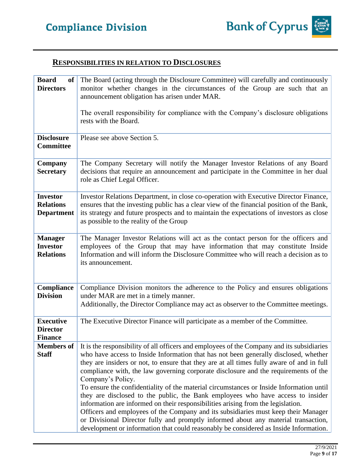## **RESPONSIBILITIES IN RELATION TO DISCLOSURES**

| <b>Board</b><br>of <sub>l</sub><br><b>Directors</b><br><b>Disclosure</b><br><b>Committee</b> | The Board (acting through the Disclosure Committee) will carefully and continuously<br>monitor whether changes in the circumstances of the Group are such that an<br>announcement obligation has arisen under MAR.<br>The overall responsibility for compliance with the Company's disclosure obligations<br>rests with the Board.<br>Please see above Section 5.                                                                                                                                                                                                                                                                                                                                                                                                                                                                                                                                                                  |
|----------------------------------------------------------------------------------------------|------------------------------------------------------------------------------------------------------------------------------------------------------------------------------------------------------------------------------------------------------------------------------------------------------------------------------------------------------------------------------------------------------------------------------------------------------------------------------------------------------------------------------------------------------------------------------------------------------------------------------------------------------------------------------------------------------------------------------------------------------------------------------------------------------------------------------------------------------------------------------------------------------------------------------------|
| <b>Company</b><br><b>Secretary</b>                                                           | The Company Secretary will notify the Manager Investor Relations of any Board<br>decisions that require an announcement and participate in the Committee in her dual<br>role as Chief Legal Officer.                                                                                                                                                                                                                                                                                                                                                                                                                                                                                                                                                                                                                                                                                                                               |
| <b>Investor</b><br><b>Relations</b><br><b>Department</b>                                     | Investor Relations Department, in close co-operation with Executive Director Finance,<br>ensures that the investing public has a clear view of the financial position of the Bank,<br>its strategy and future prospects and to maintain the expectations of investors as close<br>as possible to the reality of the Group                                                                                                                                                                                                                                                                                                                                                                                                                                                                                                                                                                                                          |
| <b>Manager</b><br><b>Investor</b><br><b>Relations</b>                                        | The Manager Investor Relations will act as the contact person for the officers and<br>employees of the Group that may have information that may constitute Inside<br>Information and will inform the Disclosure Committee who will reach a decision as to<br>its announcement.                                                                                                                                                                                                                                                                                                                                                                                                                                                                                                                                                                                                                                                     |
| <b>Compliance</b><br><b>Division</b>                                                         | Compliance Division monitors the adherence to the Policy and ensures obligations<br>under MAR are met in a timely manner.<br>Additionally, the Director Compliance may act as observer to the Committee meetings.                                                                                                                                                                                                                                                                                                                                                                                                                                                                                                                                                                                                                                                                                                                  |
| <b>Executive</b><br><b>Director</b><br><b>Finance</b>                                        | The Executive Director Finance will participate as a member of the Committee.                                                                                                                                                                                                                                                                                                                                                                                                                                                                                                                                                                                                                                                                                                                                                                                                                                                      |
| <b>Members of</b><br><b>Staff</b>                                                            | It is the responsibility of all officers and employees of the Company and its subsidiaries<br>who have access to Inside Information that has not been generally disclosed, whether<br>they are insiders or not, to ensure that they are at all times fully aware of and in full<br>compliance with, the law governing corporate disclosure and the requirements of the<br>Company's Policy.<br>To ensure the confidentiality of the material circumstances or Inside Information until<br>they are disclosed to the public, the Bank employees who have access to insider<br>information are informed on their responsibilities arising from the legislation.<br>Officers and employees of the Company and its subsidiaries must keep their Manager<br>or Divisional Director fully and promptly informed about any material transaction,<br>development or information that could reasonably be considered as Inside Information. |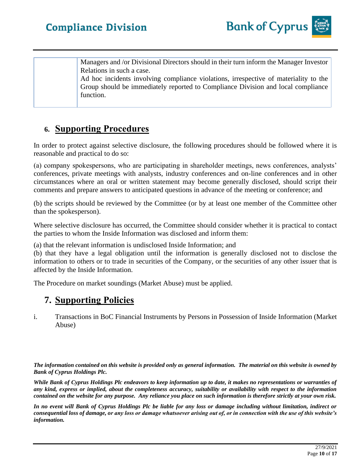Managers and /or Divisional Directors should in their turn inform the Manager Investor Relations in such a case.

Ad hoc incidents involving compliance violations, irrespective of materiality to the Group should be immediately reported to Compliance Division and local compliance function.

## **6. Supporting Procedures**

In order to protect against selective disclosure, the following procedures should be followed where it is reasonable and practical to do so:

(a) company spokespersons, who are participating in shareholder meetings, news conferences, analysts' conferences, private meetings with analysts, industry conferences and on-line conferences and in other circumstances where an oral or written statement may become generally disclosed, should script their comments and prepare answers to anticipated questions in advance of the meeting or conference; and

(b) the scripts should be reviewed by the Committee (or by at least one member of the Committee other than the spokesperson).

Where selective disclosure has occurred, the Committee should consider whether it is practical to contact the parties to whom the Inside Information was disclosed and inform them:

(a) that the relevant information is undisclosed Inside Information; and

(b) that they have a legal obligation until the information is generally disclosed not to disclose the information to others or to trade in securities of the Company, or the securities of any other issuer that is affected by the Inside Information.

The Procedure on market soundings (Market Abuse) must be applied.

## **7. Supporting Policies**

i. Transactions in BoC Financial Instruments by Persons in Possession of Inside Information (Market Abuse)

*The information contained on this website is provided only as general information. The material on this website is owned by Bank of Cyprus Holdings Plc.*

*While Bank of Cyprus Holdings Plc endeavors to keep information up to date, it makes no representations or warranties of any kind, express or implied, about the completeness accuracy, suitability or availability with respect to the information contained on the website for any purpose. Any reliance you place on such information is therefore strictly at your own risk.* 

*In no event will Bank of Cyprus Holdings Plc be liable for any loss or damage including without limitation, indirect or consequential loss of damage, or any loss or damage whatsoever arising out of, or in connection with the use of this website's information.*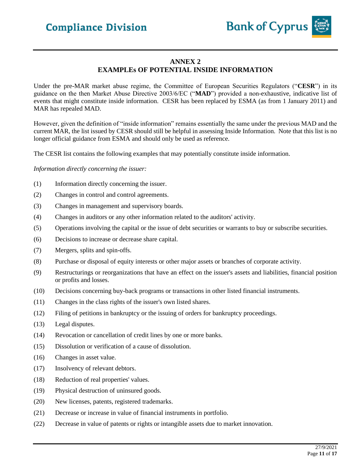

### **ANNEX 2 EXAMPLEs OF POTENTIAL INSIDE INFORMATION**

Under the pre-MAR market abuse regime, the Committee of European Securities Regulators ("**CESR**") in its guidance on the then Market Abuse Directive 2003/6/EC ("**MAD**") provided a non-exhaustive, indicative list of events that might constitute inside information. CESR has been replaced by ESMA (as from 1 January 2011) and MAR has repealed MAD.

However, given the definition of "inside information" remains essentially the same under the previous MAD and the current MAR, the list issued by CESR should still be helpful in assessing Inside Information. Note that this list is no longer official guidance from ESMA and should only be used as reference.

The CESR list contains the following examples that may potentially constitute inside information.

*Information directly concerning the issuer:*

- (1) Information directly concerning the issuer.
- (2) Changes in control and control agreements.
- (3) Changes in management and supervisory boards.
- (4) Changes in auditors or any other information related to the auditors' activity.
- (5) Operations involving the capital or the issue of debt securities or warrants to buy or subscribe securities.
- (6) Decisions to increase or decrease share capital.
- (7) Mergers, splits and spin-offs.
- (8) Purchase or disposal of equity interests or other major assets or branches of corporate activity.
- (9) Restructurings or reorganizations that have an effect on the issuer's assets and liabilities, financial position or profits and losses.
- (10) Decisions concerning buy-back programs or transactions in other listed financial instruments.
- (11) Changes in the class rights of the issuer's own listed shares.
- (12) Filing of petitions in bankruptcy or the issuing of orders for bankruptcy proceedings.
- (13) Legal disputes.
- (14) Revocation or cancellation of credit lines by one or more banks.
- (15) Dissolution or verification of a cause of dissolution.
- (16) Changes in asset value.
- (17) Insolvency of relevant debtors.
- (18) Reduction of real properties' values.
- (19) Physical destruction of uninsured goods.
- (20) New licenses, patents, registered trademarks.
- (21) Decrease or increase in value of financial instruments in portfolio.
- (22) Decrease in value of patents or rights or intangible assets due to market innovation.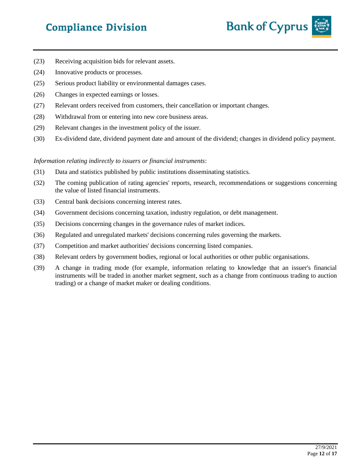# **Compliance Division**



- (23) Receiving acquisition bids for relevant assets.
- (24) Innovative products or processes.
- (25) Serious product liability or environmental damages cases.
- (26) Changes in expected earnings or losses.
- (27) Relevant orders received from customers, their cancellation or important changes.
- (28) Withdrawal from or entering into new core business areas.
- (29) Relevant changes in the investment policy of the issuer.
- (30) Ex-dividend date, dividend payment date and amount of the dividend; changes in dividend policy payment.

*Information relating indirectly to issuers or financial instruments*:

- (31) Data and statistics published by public institutions disseminating statistics.
- (32) The coming publication of rating agencies' reports, research, recommendations or suggestions concerning the value of listed financial instruments.
- (33) Central bank decisions concerning interest rates.
- (34) Government decisions concerning taxation, industry regulation, or debt management.
- (35) Decisions concerning changes in the governance rules of market indices.
- (36) Regulated and unregulated markets' decisions concerning rules governing the markets.
- (37) Competition and market authorities' decisions concerning listed companies.
- (38) Relevant orders by government bodies, regional or local authorities or other public organisations.
- (39) A change in trading mode (for example, information relating to knowledge that an issuer's financial instruments will be traded in another market segment, such as a change from continuous trading to auction trading) or a change of market maker or dealing conditions.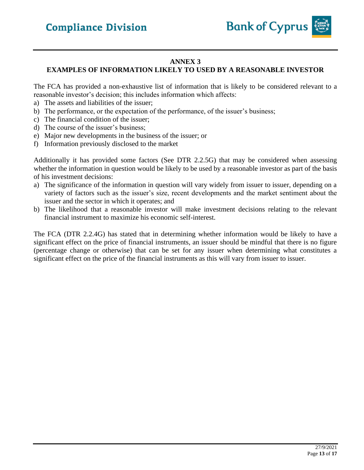![](_page_12_Picture_1.jpeg)

## **ANNEX 3**

## **EXAMPLES OF INFORMATION LIKELY TO USED BY A REASONABLE INVESTOR**

The FCA has provided a non-exhaustive list of information that is likely to be considered relevant to a reasonable investor's decision; this includes information which affects:

- a) The assets and liabilities of the issuer;
- b) The performance, or the expectation of the performance, of the issuer's business;
- c) The financial condition of the issuer;
- d) The course of the issuer's business;
- e) Major new developments in the business of the issuer; or
- f) Information previously disclosed to the market

Additionally it has provided some factors (See DTR 2.2.5G) that may be considered when assessing whether the information in question would be likely to be used by a reasonable investor as part of the basis of his investment decisions:

- a) The significance of the information in question will vary widely from issuer to issuer, depending on a variety of factors such as the issuer's size, recent developments and the market sentiment about the issuer and the sector in which it operates; and
- b) The likelihood that a reasonable investor will make investment decisions relating to the relevant financial instrument to maximize his economic self-interest.

The FCA (DTR 2.2.4G) has stated that in determining whether information would be likely to have a significant effect on the price of financial instruments, an issuer should be mindful that there is no figure (percentage change or otherwise) that can be set for any issuer when determining what constitutes a significant effect on the price of the financial instruments as this will vary from issuer to issuer.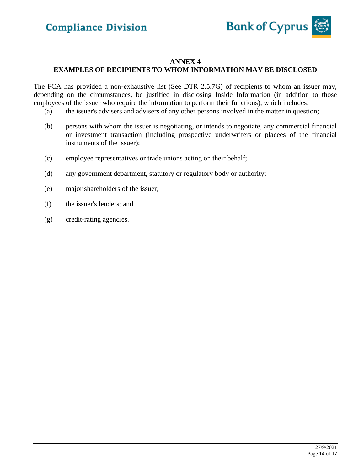![](_page_13_Picture_1.jpeg)

### **ANNEX 4**

## **EXAMPLES OF RECIPIENTS TO WHOM INFORMATION MAY BE DISCLOSED**

The FCA has provided a non-exhaustive list (See DTR 2.5.7G) of recipients to whom an issuer may, depending on the circumstances, be justified in disclosing Inside Information (in addition to those employees of the issuer who require the information to perform their functions), which includes:

- (a) the issuer's advisers and advisers of any other persons involved in the matter in question;
- (b) persons with whom the issuer is negotiating, or intends to negotiate, any commercial financial or investment transaction (including prospective underwriters or placees of the financial instruments of the issuer);
- (c) employee representatives or trade unions acting on their behalf;
- (d) any government department, statutory or regulatory body or authority;
- (e) major shareholders of the issuer;
- (f) the issuer's lenders; and
- (g) credit-rating agencies.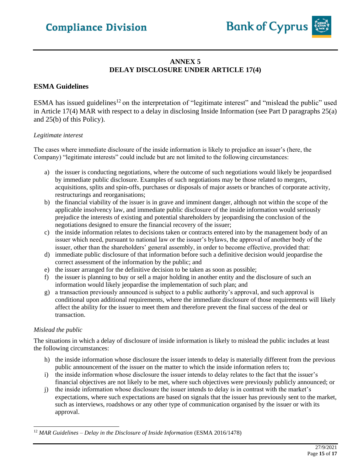![](_page_14_Picture_1.jpeg)

## **ANNEX 5 DELAY DISCLOSURE UNDER ARTICLE 17(4)**

### **ESMA Guidelines**

ESMA has issued guidelines<sup>12</sup> on the interpretation of "legitimate interest" and "mislead the public" used in Article 17(4) MAR with respect to a delay in disclosing Inside Information (see Part D paragraphs 25(a) and 25(b) of this Policy).

#### *Legitimate interest*

The cases where immediate disclosure of the inside information is likely to prejudice an issuer's (here, the Company) "legitimate interests" could include but are not limited to the following circumstances:

- a) the issuer is conducting negotiations, where the outcome of such negotiations would likely be jeopardised by immediate public disclosure. Examples of such negotiations may be those related to mergers, acquisitions, splits and spin-offs, purchases or disposals of major assets or branches of corporate activity, restructurings and reorganisations;
- b) the financial viability of the issuer is in grave and imminent danger, although not within the scope of the applicable insolvency law, and immediate public disclosure of the inside information would seriously prejudice the interests of existing and potential shareholders by jeopardising the conclusion of the negotiations designed to ensure the financial recovery of the issuer;
- c) the inside information relates to decisions taken or contracts entered into by the management body of an issuer which need, pursuant to national law or the issuer's bylaws, the approval of another body of the issuer, other than the shareholders' general assembly, in order to become effective, provided that:
- d) immediate public disclosure of that information before such a definitive decision would jeopardise the correct assessment of the information by the public; and
- e) the issuer arranged for the definitive decision to be taken as soon as possible;
- f) the issuer is planning to buy or sell a major holding in another entity and the disclosure of such an information would likely jeopardise the implementation of such plan; and
- g) a transaction previously announced is subject to a public authority's approval, and such approval is conditional upon additional requirements, where the immediate disclosure of those requirements will likely affect the ability for the issuer to meet them and therefore prevent the final success of the deal or transaction.

#### *Mislead the public*

The situations in which a delay of disclosure of inside information is likely to mislead the public includes at least the following circumstances:

- h) the inside information whose disclosure the issuer intends to delay is materially different from the previous public announcement of the issuer on the matter to which the inside information refers to;
- i) the inside information whose disclosure the issuer intends to delay relates to the fact that the issuer's financial objectives are not likely to be met, where such objectives were previously publicly announced; or
- j) the inside information whose disclosure the issuer intends to delay is in contrast with the market's expectations, where such expectations are based on signals that the issuer has previously sent to the market, such as interviews, roadshows or any other type of communication organised by the issuer or with its approval.

<sup>12</sup> *MAR Guidelines – Delay in the Disclosure of Inside Information* (ESMA 2016/1478)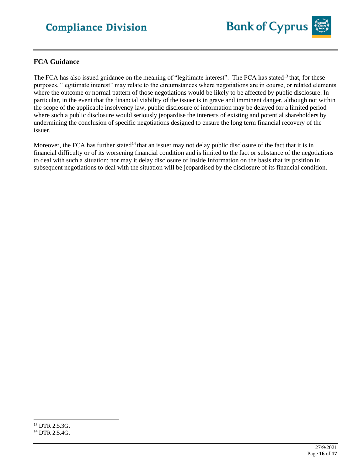![](_page_15_Picture_1.jpeg)

### **FCA Guidance**

The FCA has also issued guidance on the meaning of "legitimate interest". The FCA has stated<sup>13</sup> that, for these purposes, "legitimate interest" may relate to the circumstances where negotiations are in course, or related elements where the outcome or normal pattern of those negotiations would be likely to be affected by public disclosure. In particular, in the event that the financial viability of the issuer is in grave and imminent danger, although not within the scope of the applicable insolvency law, public disclosure of information may be delayed for a limited period where such a public disclosure would seriously jeopardise the interests of existing and potential shareholders by undermining the conclusion of specific negotiations designed to ensure the long term financial recovery of the issuer.

Moreover, the FCA has further stated<sup>14</sup> that an issuer may not delay public disclosure of the fact that it is in financial difficulty or of its worsening financial condition and is limited to the fact or substance of the negotiations to deal with such a situation; nor may it delay disclosure of Inside Information on the basis that its position in subsequent negotiations to deal with the situation will be jeopardised by the disclosure of its financial condition.

<sup>13</sup> DTR 2.5.3G. <sup>14</sup> DTR 2.5.4G.